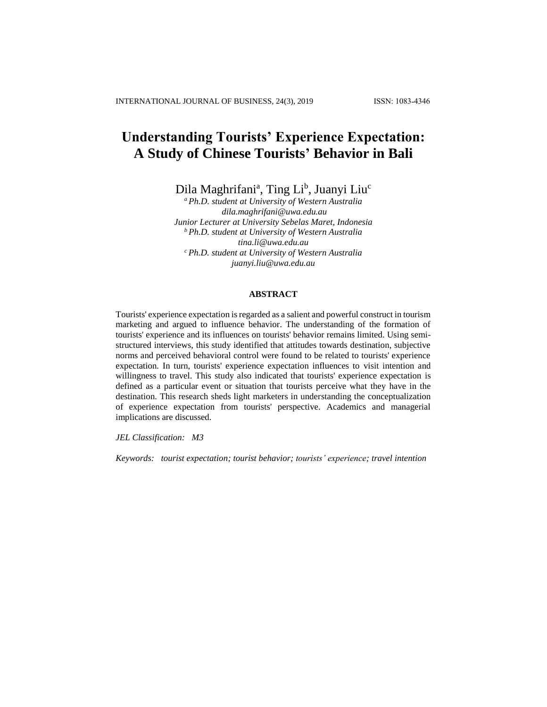# **Understanding Tourists' Experience Expectation: A Study of Chinese Tourists' Behavior in Bali**

Dila Maghrifani<sup>a</sup>, Ting Li<sup>b</sup>, Juanyi Liu<sup>c</sup>

*<sup>a</sup>Ph.D. student at University of Western Australia dila.maghrifani@uwa.edu.au Junior Lecturer at University Sebelas Maret, Indonesia <sup>b</sup>Ph.D. student at University of Western Australia tina.li@uwa.edu.au <sup>c</sup>Ph.D. student at University of Western Australia juanyi.liu@uwa.edu.au*

# **ABSTRACT**

Tourists' experience expectation is regarded as a salient and powerful construct in tourism marketing and argued to influence behavior. The understanding of the formation of tourists' experience and its influences on tourists' behavior remains limited. Using semistructured interviews, this study identified that attitudes towards destination, subjective norms and perceived behavioral control were found to be related to tourists' experience expectation. In turn, tourists' experience expectation influences to visit intention and willingness to travel. This study also indicated that tourists' experience expectation is defined as a particular event or situation that tourists perceive what they have in the destination. This research sheds light marketers in understanding the conceptualization of experience expectation from tourists' perspective. Academics and managerial implications are discussed.

*JEL Classification: M3*

*Keywords: tourist expectation; tourist behavior; tourists' experience; travel intention*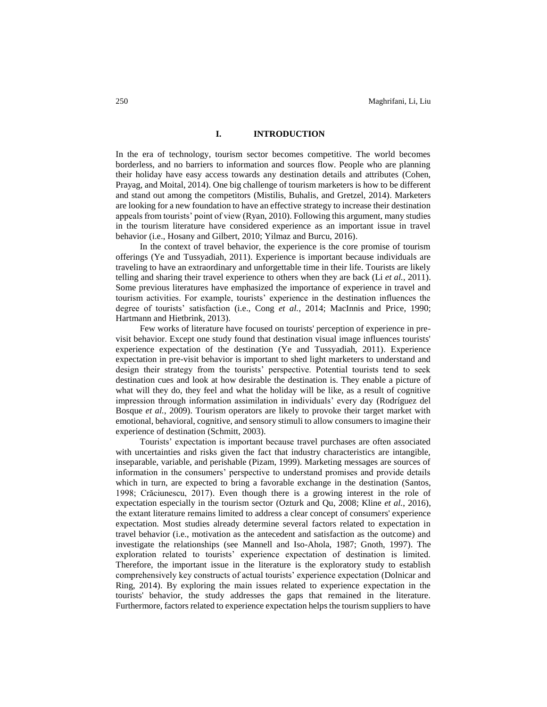# **I. INTRODUCTION**

In the era of technology, tourism sector becomes competitive. The world becomes borderless, and no barriers to information and sources flow. People who are planning their holiday have easy access towards any destination details and attributes (Cohen, Prayag, and Moital, 2014). One big challenge of tourism marketers is how to be different and stand out among the competitors (Mistilis, Buhalis, and Gretzel, 2014). Marketers are looking for a new foundation to have an effective strategy to increase their destination appeals from tourists' point of view (Ryan, 2010). Following this argument, many studies in the tourism literature have considered experience as an important issue in travel behavior (i.e., Hosany and Gilbert, 2010; Yilmaz and Burcu, 2016).

In the context of travel behavior, the experience is the core promise of tourism offerings (Ye and Tussyadiah, 2011). Experience is important because individuals are traveling to have an extraordinary and unforgettable time in their life. Tourists are likely telling and sharing their travel experience to others when they are back (Li *et al.*, 2011). Some previous literatures have emphasized the importance of experience in travel and tourism activities. For example, tourists' experience in the destination influences the degree of tourists' satisfaction (i.e., Cong *et al.*, 2014; MacInnis and Price, 1990; Hartmann and Hietbrink, 2013).

Few works of literature have focused on tourists' perception of experience in previsit behavior. Except one study found that destination visual image influences tourists' experience expectation of the destination (Ye and Tussyadiah, 2011). Experience expectation in pre-visit behavior is important to shed light marketers to understand and design their strategy from the tourists' perspective. Potential tourists tend to seek destination cues and look at how desirable the destination is. They enable a picture of what will they do, they feel and what the holiday will be like, as a result of cognitive impression through information assimilation in individuals' every day (Rodríguez del Bosque *et al.*, 2009). Tourism operators are likely to provoke their target market with emotional, behavioral, cognitive, and sensory stimuli to allow consumers to imagine their experience of destination (Schmitt, 2003).

Tourists' expectation is important because travel purchases are often associated with uncertainties and risks given the fact that industry characteristics are intangible, inseparable, variable, and perishable (Pizam, 1999). Marketing messages are sources of information in the consumers' perspective to understand promises and provide details which in turn, are expected to bring a favorable exchange in the destination (Santos, 1998; Crăciunescu, 2017). Even though there is a growing interest in the role of expectation especially in the tourism sector (Ozturk and Qu, 2008; Kline *et al.*, 2016), the extant literature remains limited to address a clear concept of consumers' experience expectation. Most studies already determine several factors related to expectation in travel behavior (i.e., motivation as the antecedent and satisfaction as the outcome) and investigate the relationships (see Mannell and Iso-Ahola, 1987; Gnoth, 1997). The exploration related to tourists' experience expectation of destination is limited. Therefore, the important issue in the literature is the exploratory study to establish comprehensively key constructs of actual tourists' experience expectation (Dolnicar and Ring, 2014). By exploring the main issues related to experience expectation in the tourists' behavior, the study addresses the gaps that remained in the literature. Furthermore, factors related to experience expectation helps the tourism suppliers to have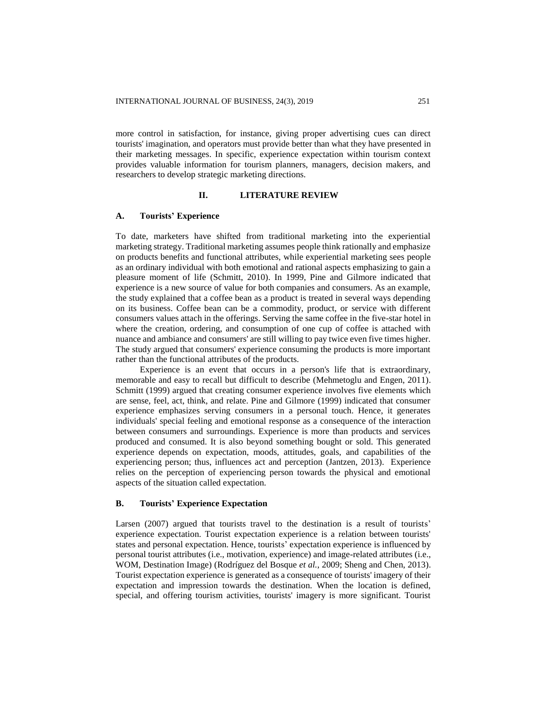more control in satisfaction, for instance, giving proper advertising cues can direct tourists' imagination, and operators must provide better than what they have presented in their marketing messages. In specific, experience expectation within tourism context provides valuable information for tourism planners, managers, decision makers, and researchers to develop strategic marketing directions.

#### **II. LITERATURE REVIEW**

#### **A. Tourists' Experience**

To date, marketers have shifted from traditional marketing into the experiential marketing strategy. Traditional marketing assumes people think rationally and emphasize on products benefits and functional attributes, while experiential marketing sees people as an ordinary individual with both emotional and rational aspects emphasizing to gain a pleasure moment of life (Schmitt, 2010). In 1999, Pine and Gilmore indicated that experience is a new source of value for both companies and consumers. As an example, the study explained that a coffee bean as a product is treated in several ways depending on its business. Coffee bean can be a commodity, product, or service with different consumers values attach in the offerings. Serving the same coffee in the five-star hotel in where the creation, ordering, and consumption of one cup of coffee is attached with nuance and ambiance and consumers' are still willing to pay twice even five times higher. The study argued that consumers' experience consuming the products is more important rather than the functional attributes of the products.

Experience is an event that occurs in a person's life that is extraordinary, memorable and easy to recall but difficult to describe (Mehmetoglu and Engen, 2011). Schmitt (1999) argued that creating consumer experience involves five elements which are sense, feel, act, think, and relate. Pine and Gilmore (1999) indicated that consumer experience emphasizes serving consumers in a personal touch. Hence, it generates individuals' special feeling and emotional response as a consequence of the interaction between consumers and surroundings. Experience is more than products and services produced and consumed. It is also beyond something bought or sold. This generated experience depends on expectation, moods, attitudes, goals, and capabilities of the experiencing person; thus, influences act and perception (Jantzen, 2013). Experience relies on the perception of experiencing person towards the physical and emotional aspects of the situation called expectation.

# **B. Tourists' Experience Expectation**

Larsen (2007) argued that tourists travel to the destination is a result of tourists' experience expectation. Tourist expectation experience is a relation between tourists' states and personal expectation. Hence, tourists' expectation experience is influenced by personal tourist attributes (i.e., motivation, experience) and image-related attributes (i.e., WOM, Destination Image) (Rodríguez del Bosque *et al.*, 2009; Sheng and Chen, 2013). Tourist expectation experience is generated as a consequence of tourists' imagery of their expectation and impression towards the destination. When the location is defined, special, and offering tourism activities, tourists' imagery is more significant. Tourist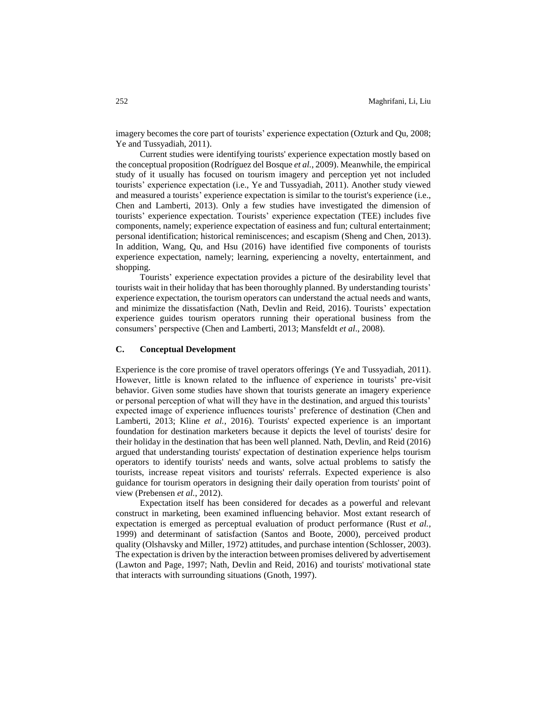imagery becomes the core part of tourists' experience expectation (Ozturk and Qu, 2008; Ye and Tussyadiah, 2011).

Current studies were identifying tourists' experience expectation mostly based on the conceptual proposition (Rodríguez del Bosque *et al.*, 2009). Meanwhile, the empirical study of it usually has focused on tourism imagery and perception yet not included tourists' experience expectation (i.e., Ye and Tussyadiah, 2011). Another study viewed and measured a tourists' experience expectation is similar to the tourist's experience (i.e., Chen and Lamberti, 2013). Only a few studies have investigated the dimension of tourists' experience expectation. Tourists' experience expectation (TEE) includes five components, namely; experience expectation of easiness and fun; cultural entertainment; personal identification; historical reminiscences; and escapism (Sheng and Chen, 2013). In addition, Wang, Qu, and Hsu (2016) have identified five components of tourists experience expectation, namely; learning, experiencing a novelty, entertainment, and shopping.

Tourists' experience expectation provides a picture of the desirability level that tourists wait in their holiday that has been thoroughly planned. By understanding tourists' experience expectation, the tourism operators can understand the actual needs and wants, and minimize the dissatisfaction (Nath, Devlin and Reid, 2016). Tourists' expectation experience guides tourism operators running their operational business from the consumers' perspective (Chen and Lamberti, 2013; Mansfeldt *et al*., 2008).

# **C. Conceptual Development**

Experience is the core promise of travel operators offerings (Ye and Tussyadiah, 2011). However, little is known related to the influence of experience in tourists' pre-visit behavior. Given some studies have shown that tourists generate an imagery experience or personal perception of what will they have in the destination, and argued this tourists' expected image of experience influences tourists' preference of destination (Chen and Lamberti, 2013; Kline *et al.*, 2016). Tourists' expected experience is an important foundation for destination marketers because it depicts the level of tourists' desire for their holiday in the destination that has been well planned. Nath, Devlin, and Reid (2016) argued that understanding tourists' expectation of destination experience helps tourism operators to identify tourists' needs and wants, solve actual problems to satisfy the tourists, increase repeat visitors and tourists' referrals. Expected experience is also guidance for tourism operators in designing their daily operation from tourists' point of view (Prebensen *et al.*, 2012).

Expectation itself has been considered for decades as a powerful and relevant construct in marketing, been examined influencing behavior. Most extant research of expectation is emerged as perceptual evaluation of product performance (Rust *et al.*, 1999) and determinant of satisfaction (Santos and Boote, 2000), perceived product quality (Olshavsky and Miller, 1972) attitudes, and purchase intention (Schlosser, 2003). The expectation is driven by the interaction between promises delivered by advertisement (Lawton and Page, 1997; Nath, Devlin and Reid, 2016) and tourists' motivational state that interacts with surrounding situations (Gnoth, 1997).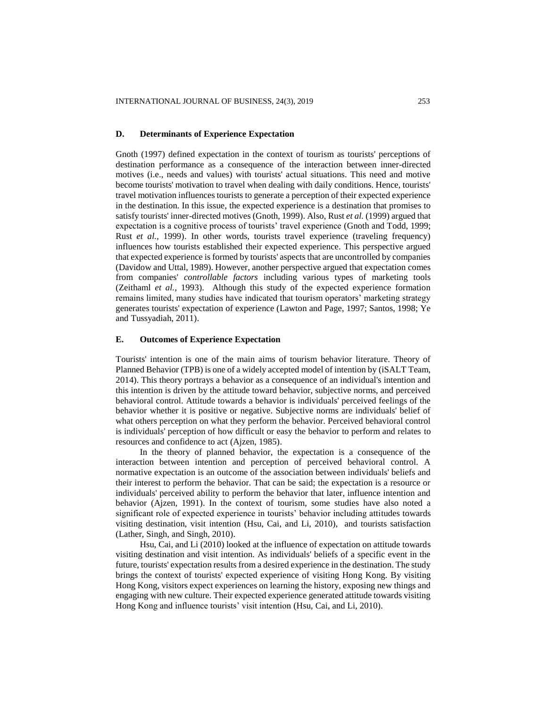#### **D. Determinants of Experience Expectation**

Gnoth (1997) defined expectation in the context of tourism as tourists' perceptions of destination performance as a consequence of the interaction between inner-directed motives (i.e., needs and values) with tourists' actual situations. This need and motive become tourists' motivation to travel when dealing with daily conditions. Hence, tourists' travel motivation influences tourists to generate a perception of their expected experience in the destination. In this issue, the expected experience is a destination that promises to satisfy tourists' inner-directed motives (Gnoth, 1999). Also, Rust *et al.* (1999) argued that expectation is a cognitive process of tourists' travel experience (Gnoth and Todd, 1999; Rust *et al.*, 1999). In other words, tourists travel experience (traveling frequency) influences how tourists established their expected experience. This perspective argued that expected experience is formed by tourists' aspects that are uncontrolled by companies (Davidow and Uttal, 1989). However, another perspective argued that expectation comes from companies' *controllable factors* including various types of marketing tools (Zeithaml *et al.*, 1993). Although this study of the expected experience formation remains limited, many studies have indicated that tourism operators' marketing strategy generates tourists' expectation of experience (Lawton and Page, 1997; Santos, 1998; Ye and Tussyadiah, 2011).

# **E. Outcomes of Experience Expectation**

Tourists' intention is one of the main aims of tourism behavior literature. Theory of Planned Behavior (TPB) is one of a widely accepted model of intention by (iSALT Team, 2014). This theory portrays a behavior as a consequence of an individual's intention and this intention is driven by the attitude toward behavior, subjective norms, and perceived behavioral control. Attitude towards a behavior is individuals' perceived feelings of the behavior whether it is positive or negative. Subjective norms are individuals' belief of what others perception on what they perform the behavior. Perceived behavioral control is individuals' perception of how difficult or easy the behavior to perform and relates to resources and confidence to act (Ajzen, 1985).

In the theory of planned behavior, the expectation is a consequence of the interaction between intention and perception of perceived behavioral control. A normative expectation is an outcome of the association between individuals' beliefs and their interest to perform the behavior. That can be said; the expectation is a resource or individuals' perceived ability to perform the behavior that later, influence intention and behavior (Ajzen, 1991). In the context of tourism, some studies have also noted a significant role of expected experience in tourists' behavior including attitudes towards visiting destination, visit intention (Hsu, Cai, and Li, 2010), and tourists satisfaction (Lather, Singh, and Singh, 2010).

Hsu, Cai, and Li (2010) looked at the influence of expectation on attitude towards visiting destination and visit intention. As individuals' beliefs of a specific event in the future, tourists' expectation results from a desired experience in the destination. The study brings the context of tourists' expected experience of visiting Hong Kong. By visiting Hong Kong, visitors expect experiences on learning the history, exposing new things and engaging with new culture. Their expected experience generated attitude towards visiting Hong Kong and influence tourists' visit intention (Hsu, Cai, and Li, 2010).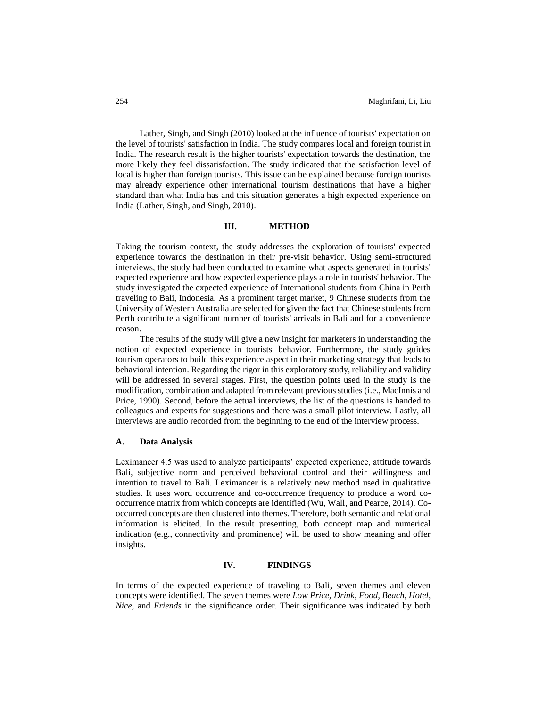Lather, Singh, and Singh (2010) looked at the influence of tourists' expectation on the level of tourists' satisfaction in India. The study compares local and foreign tourist in India. The research result is the higher tourists' expectation towards the destination, the more likely they feel dissatisfaction. The study indicated that the satisfaction level of local is higher than foreign tourists. This issue can be explained because foreign tourists may already experience other international tourism destinations that have a higher standard than what India has and this situation generates a high expected experience on India (Lather, Singh, and Singh, 2010).

# **III. METHOD**

Taking the tourism context, the study addresses the exploration of tourists' expected experience towards the destination in their pre-visit behavior. Using semi-structured interviews, the study had been conducted to examine what aspects generated in tourists' expected experience and how expected experience plays a role in tourists' behavior. The study investigated the expected experience of International students from China in Perth traveling to Bali, Indonesia. As a prominent target market, 9 Chinese students from the University of Western Australia are selected for given the fact that Chinese students from Perth contribute a significant number of tourists' arrivals in Bali and for a convenience reason.

The results of the study will give a new insight for marketers in understanding the notion of expected experience in tourists' behavior. Furthermore, the study guides tourism operators to build this experience aspect in their marketing strategy that leads to behavioral intention. Regarding the rigor in this exploratory study, reliability and validity will be addressed in several stages. First, the question points used in the study is the modification, combination and adapted from relevant previous studies (i.e., MacInnis and Price, 1990). Second, before the actual interviews, the list of the questions is handed to colleagues and experts for suggestions and there was a small pilot interview. Lastly, all interviews are audio recorded from the beginning to the end of the interview process.

### **A. Data Analysis**

Leximancer 4.5 was used to analyze participants' expected experience, attitude towards Bali, subjective norm and perceived behavioral control and their willingness and intention to travel to Bali. Leximancer is a relatively new method used in qualitative studies. It uses word occurrence and co-occurrence frequency to produce a word cooccurrence matrix from which concepts are identified (Wu, Wall, and Pearce, 2014). Cooccurred concepts are then clustered into themes. Therefore, both semantic and relational information is elicited. In the result presenting, both concept map and numerical indication (e.g., connectivity and prominence) will be used to show meaning and offer insights.

# **IV. FINDINGS**

In terms of the expected experience of traveling to Bali, seven themes and eleven concepts were identified. The seven themes were *Low Price, Drink, Food, Beach, Hotel, Nice,* and *Friends* in the significance order. Their significance was indicated by both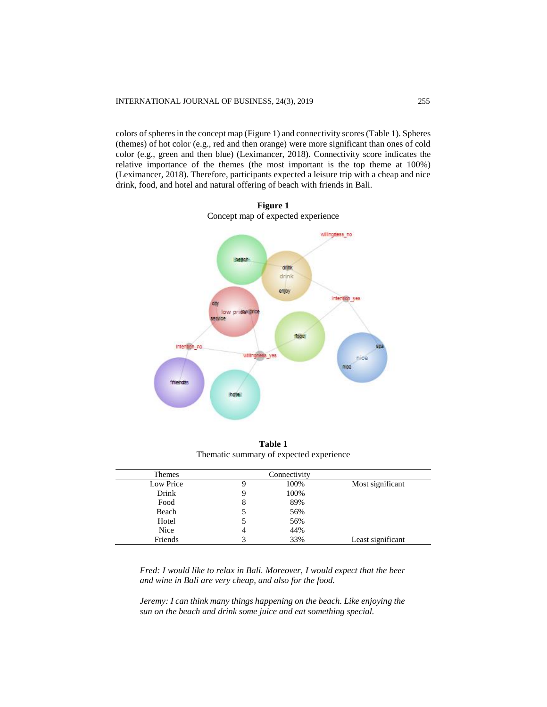colors of spheres in the concept map (Figure 1) and connectivity scores (Table 1). Spheres (themes) of hot color (e.g., red and then orange) were more significant than ones of cold color (e.g., green and then blue) (Leximancer, 2018). Connectivity score indicates the relative importance of the themes (the most important is the top theme at 100%) (Leximancer, 2018). Therefore, participants expected a leisure trip with a cheap and nice drink, food, and hotel and natural offering of beach with friends in Bali.



**Figure 1** Concept map of expected experience

**Table 1** Thematic summary of expected experience

| Themes    | Connectivity |      |                   |
|-----------|--------------|------|-------------------|
| Low Price | 9            | 100% | Most significant  |
| Drink     | 9            | 100% |                   |
| Food      | 8            | 89%  |                   |
| Beach     |              | 56%  |                   |
| Hotel     |              | 56%  |                   |
| Nice      | 4            | 44%  |                   |
| Friends   | ć            | 33%  | Least significant |

*Fred: I would like to relax in Bali. Moreover, I would expect that the beer and wine in Bali are very cheap, and also for the food.*

*Jeremy: I can think many things happening on the beach. Like enjoying the sun on the beach and drink some juice and eat something special.*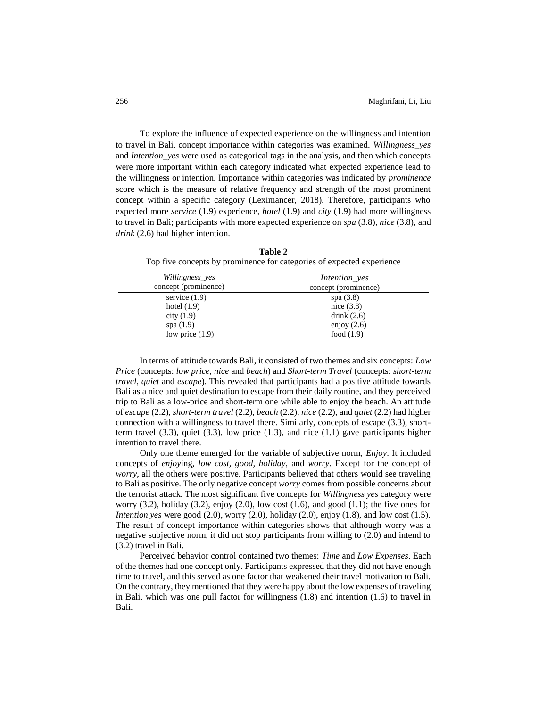To explore the influence of expected experience on the willingness and intention to travel in Bali, concept importance within categories was examined. *Willingness\_yes* and *Intention\_yes* were used as categorical tags in the analysis, and then which concepts were more important within each category indicated what expected experience lead to the willingness or intention. Importance within categories was indicated by *prominence* score which is the measure of relative frequency and strength of the most prominent concept within a specific category (Leximancer, 2018). Therefore, participants who expected more *service* (1.9) experience, *hotel* (1.9) and *city* (1.9) had more willingness to travel in Bali; participants with more expected experience on *spa* (3.8)*, nice* (3.8)*,* and *drink* (2.6) had higher intention.

| Top five concepts of prominence for ealexofies of expected experience |                      |  |
|-----------------------------------------------------------------------|----------------------|--|
| Willingness_yes                                                       | Intention_yes        |  |
| concept (prominence)                                                  | concept (prominence) |  |
| service $(1.9)$                                                       | spa $(3.8)$          |  |
| hotel $(1.9)$                                                         | nice $(3.8)$         |  |
| city $(1.9)$                                                          | drink $(2.6)$        |  |
| spa $(1.9)$                                                           | enjoy $(2.6)$        |  |
| low price $(1.9)$                                                     | food $(1.9)$         |  |

**Table 2** Top five concepts by prominence for categories of expected experience

In terms of attitude towards Bali, it consisted of two themes and six concepts: *Low Price* (concepts: *low price, nice* and *beach*) and *Short-term Travel* (concepts: *short-term travel, quiet* and *escape*). This revealed that participants had a positive attitude towards Bali as a nice and quiet destination to escape from their daily routine, and they perceived trip to Bali as a low-price and short-term one while able to enjoy the beach. An attitude of *escape* (2.2), *short-term travel* (2.2), *beach* (2.2), *nice* (2.2), and *quiet* (2.2) had higher connection with a willingness to travel there. Similarly, concepts of escape (3.3), shortterm travel  $(3.3)$ , quiet  $(3.3)$ , low price  $(1.3)$ , and nice  $(1.1)$  gave participants higher intention to travel there.

Only one theme emerged for the variable of subjective norm, *Enjoy*. It included concepts of *enjoy*ing, *low cost, good, holiday,* and *worry*. Except for the concept of *worry*, all the others were positive. Participants believed that others would see traveling to Bali as positive. The only negative concept *worry* comes from possible concerns about the terrorist attack. The most significant five concepts for *Willingness yes* category were worry  $(3.2)$ , holiday  $(3.2)$ , enjoy  $(2.0)$ , low cost  $(1.6)$ , and good  $(1.1)$ ; the five ones for *Intention yes* were good (2.0), worry (2.0), holiday (2.0), enjoy (1.8), and low cost (1.5). The result of concept importance within categories shows that although worry was a negative subjective norm, it did not stop participants from willing to (2.0) and intend to (3.2) travel in Bali.

Perceived behavior control contained two themes: *Time* and *Low Expenses*. Each of the themes had one concept only. Participants expressed that they did not have enough time to travel, and this served as one factor that weakened their travel motivation to Bali. On the contrary, they mentioned that they were happy about the low expenses of traveling in Bali, which was one pull factor for willingness (1.8) and intention (1.6) to travel in Bali.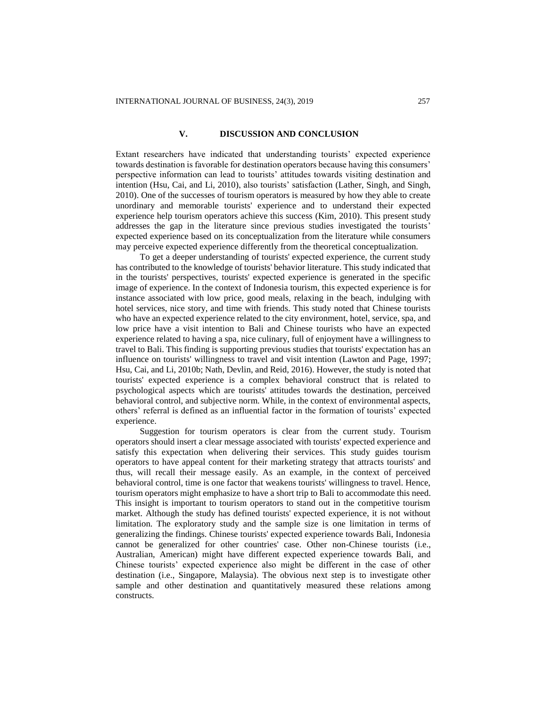# **V. DISCUSSION AND CONCLUSION**

Extant researchers have indicated that understanding tourists' expected experience towards destination is favorable for destination operators because having this consumers' perspective information can lead to tourists' attitudes towards visiting destination and intention (Hsu, Cai, and Li, 2010), also tourists' satisfaction (Lather, Singh, and Singh, 2010). One of the successes of tourism operators is measured by how they able to create unordinary and memorable tourists' experience and to understand their expected experience help tourism operators achieve this success (Kim, 2010). This present study addresses the gap in the literature since previous studies investigated the tourists' expected experience based on its conceptualization from the literature while consumers may perceive expected experience differently from the theoretical conceptualization.

To get a deeper understanding of tourists' expected experience, the current study has contributed to the knowledge of tourists' behavior literature. This study indicated that in the tourists' perspectives, tourists' expected experience is generated in the specific image of experience. In the context of Indonesia tourism, this expected experience is for instance associated with low price, good meals, relaxing in the beach, indulging with hotel services, nice story, and time with friends. This study noted that Chinese tourists who have an expected experience related to the city environment, hotel, service, spa, and low price have a visit intention to Bali and Chinese tourists who have an expected experience related to having a spa, nice culinary, full of enjoyment have a willingness to travel to Bali. This finding is supporting previous studies that tourists' expectation has an influence on tourists' willingness to travel and visit intention (Lawton and Page, 1997; Hsu, Cai, and Li, 2010b; Nath, Devlin, and Reid, 2016). However, the study is noted that tourists' expected experience is a complex behavioral construct that is related to psychological aspects which are tourists' attitudes towards the destination, perceived behavioral control, and subjective norm. While, in the context of environmental aspects, others' referral is defined as an influential factor in the formation of tourists' expected experience.

Suggestion for tourism operators is clear from the current study. Tourism operators should insert a clear message associated with tourists' expected experience and satisfy this expectation when delivering their services. This study guides tourism operators to have appeal content for their marketing strategy that attracts tourists' and thus, will recall their message easily. As an example, in the context of perceived behavioral control, time is one factor that weakens tourists' willingness to travel. Hence, tourism operators might emphasize to have a short trip to Bali to accommodate this need. This insight is important to tourism operators to stand out in the competitive tourism market. Although the study has defined tourists' expected experience, it is not without limitation. The exploratory study and the sample size is one limitation in terms of generalizing the findings. Chinese tourists' expected experience towards Bali, Indonesia cannot be generalized for other countries' case. Other non-Chinese tourists (i.e., Australian, American) might have different expected experience towards Bali, and Chinese tourists' expected experience also might be different in the case of other destination (i.e., Singapore, Malaysia). The obvious next step is to investigate other sample and other destination and quantitatively measured these relations among constructs.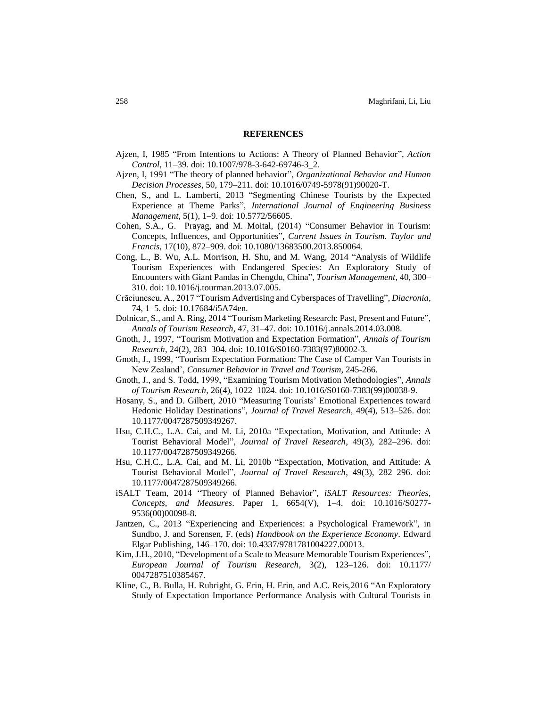#### **REFERENCES**

- Ajzen, I, 1985 "From Intentions to Actions: A Theory of Planned Behavior", *Action Control*, 11–39. doi: 10.1007/978-3-642-69746-3\_2.
- Ajzen, I, 1991 "The theory of planned behavior", *Organizational Behavior and Human Decision Processes*, 50, 179–211. doi: 10.1016/0749-5978(91)90020-T.
- Chen, S., and L. Lamberti, 2013 "Segmenting Chinese Tourists by the Expected Experience at Theme Parks", *International Journal of Engineering Business Management*, 5(1), 1–9. doi: 10.5772/56605.
- Cohen, S.A., G. Prayag, and M. Moital, (2014) "Consumer Behavior in Tourism: Concepts, Influences, and Opportunities", *Current Issues in Tourism. Taylor and Francis*, 17(10), 872–909. doi: 10.1080/13683500.2013.850064.
- Cong, L., B. Wu, A.L. Morrison, H. Shu, and M. Wang, 2014 "Analysis of Wildlife Tourism Experiences with Endangered Species: An Exploratory Study of Encounters with Giant Pandas in Chengdu, China", *Tourism Management*, 40, 300– 310. doi: 10.1016/j.tourman.2013.07.005.
- Crăciunescu, A., 2017 "Tourism Advertising and Cyberspaces of Travelling", *Diacronia*, 74, 1–5. doi: 10.17684/i5A74en.
- Dolnicar, S., and A. Ring, 2014 "Tourism Marketing Research: Past, Present and Future", *Annals of Tourism Research*, 47, 31–47. doi: 10.1016/j.annals.2014.03.008.
- Gnoth, J., 1997, "Tourism Motivation and Expectation Formation", *Annals of Tourism Research*, 24(2), 283–304. doi: 10.1016/S0160-7383(97)80002-3.
- Gnoth, J., 1999, "Tourism Expectation Formation: The Case of Camper Van Tourists in New Zealand', *Consumer Behavior in Travel and Tourism*, 245-266.
- Gnoth, J., and S. Todd, 1999, "Examining Tourism Motivation Methodologies", *Annals of Tourism Research*, 26(4), 1022–1024. doi: 10.1016/S0160-7383(99)00038-9.
- Hosany, S., and D. Gilbert, 2010 "Measuring Tourists' Emotional Experiences toward Hedonic Holiday Destinations", *Journal of Travel Research*, 49(4), 513–526. doi: 10.1177/0047287509349267.
- Hsu, C.H.C., L.A. Cai, and M. Li, 2010a "Expectation, Motivation, and Attitude: A Tourist Behavioral Model", *Journal of Travel Research*, 49(3), 282–296. doi: 10.1177/0047287509349266.
- Hsu, C.H.C., L.A. Cai, and M. Li, 2010b "Expectation, Motivation, and Attitude: A Tourist Behavioral Model", *Journal of Travel Research*, 49(3), 282–296. doi: 10.1177/0047287509349266.
- iSALT Team, 2014 "Theory of Planned Behavior", *iSALT Resources: Theories, Concepts, and Measures*. Paper 1, 6654(V), 1–4. doi: 10.1016/S0277- 9536(00)00098-8.
- Jantzen, C., 2013 "Experiencing and Experiences: a Psychological Framework", in Sundbo, J. and Sorensen, F. (eds) *Handbook on the Experience Economy*. Edward Elgar Publishing, 146–170. doi: 10.4337/9781781004227.00013.
- Kim, J.H., 2010, "Development of a Scale to Measure Memorable Tourism Experiences", *European Journal of Tourism Research*, 3(2), 123–126. doi: 10.1177/ 0047287510385467.
- Kline, C., B. Bulla, H. Rubright, G. Erin, H. Erin, and A.C. Reis,2016 "An Exploratory Study of Expectation Importance Performance Analysis with Cultural Tourists in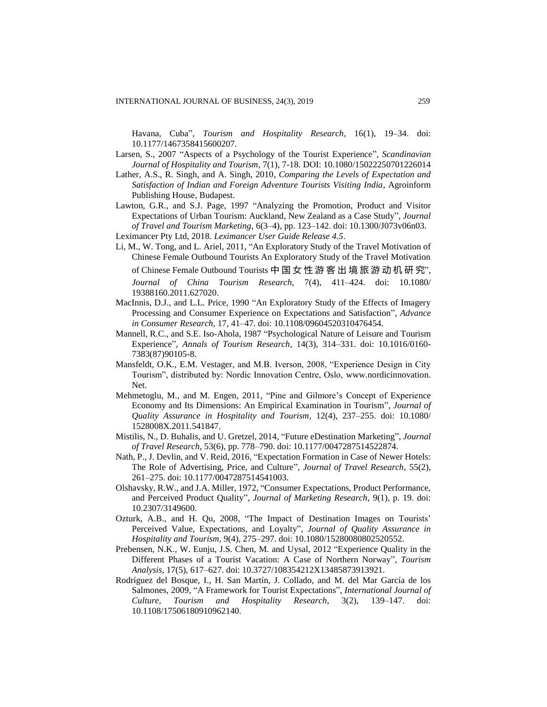Havana, Cuba", *Tourism and Hospitality Research*, 16(1), 19–34. doi: 10.1177/1467358415600207.

- Larsen, S., 2007 "Aspects of a Psychology of the Tourist Experience", *Scandinavian Journal of Hospitality and Tourism*, 7(1), 7-18. DOI: 10.1080/15022250701226014
- Lather, A.S., R. Singh, and A. Singh, 2010, *Comparing the Levels of Expectation and Satisfaction of Indian and Foreign Adventure Tourists Visiting India*, Agroinform Publishing House, Budapest.
- Lawton, G.R., and S.J. Page, 1997 "Analyzing the Promotion, Product and Visitor Expectations of Urban Tourism: Auckland, New Zealand as a Case Study", *Journal of Travel and Tourism Marketing*, 6(3–4), pp. 123–142. doi: 10.1300/J073v06n03.

Leximancer Pty Ltd, 2018. *Leximancer User Guide Release 4.5*.

Li, M., W. Tong, and L. Ariel, 2011, "An Exploratory Study of the Travel Motivation of Chinese Female Outbound Tourists An Exploratory Study of the Travel Motivation of Chinese Female Outbound Tourists 中 国 女 性 游 客 出 境 旅 游 动 机 研 究",

*Journal of China Tourism Research*, 7(4), 411–424. doi: 10.1080/ 19388160.2011.627020.

- MacInnis, D.J., and L.L. Price, 1990 "An Exploratory Study of the Effects of Imagery Processing and Consumer Experience on Expectations and Satisfaction", *Advance in Consumer Research,* 17, 41–47. doi: 10.1108/09604520310476454.
- Mannell, R.C., and S.E. Iso-Ahola, 1987 "Psychological Nature of Leisure and Tourism Experience", *Annals of Tourism Research*, 14(3), 314–331. doi: 10.1016/0160- 7383(87)90105-8.
- Mansfeldt, O.K., E.M. Vestager, and M.B. Iverson, 2008, "Experience Design in City Tourism", distributed by: Nordic Innovation Centre, Oslo, [www.nordicinnovation.](http://www.nordicinnovation/) Net.
- Mehmetoglu, M., and M. Engen, 2011, "Pine and Gilmore's Concept of Experience Economy and Its Dimensions: An Empirical Examination in Tourism", *Journal of Quality Assurance in Hospitality and Tourism*, 12(4), 237–255. doi: 10.1080/ 1528008X.2011.541847.
- Mistilis, N., D. Buhalis, and U. Gretzel, 2014, "Future eDestination Marketing", *Journal of Travel Research*, 53(6), pp. 778–790. doi: 10.1177/0047287514522874.
- Nath, P., J. Devlin, and V. Reid, 2016, "Expectation Formation in Case of Newer Hotels: The Role of Advertising, Price, and Culture", *Journal of Travel Research*, 55(2), 261–275. doi: 10.1177/0047287514541003.
- Olshavsky, R.W., and J.A. Miller, 1972, "Consumer Expectations, Product Performance, and Perceived Product Quality", *Journal of Marketing Research*, 9(1), p. 19. doi: 10.2307/3149600.
- Ozturk, A.B., and H. Qu, 2008, "The Impact of Destination Images on Tourists' Perceived Value, Expectations, and Loyalty", *Journal of Quality Assurance in Hospitality and Tourism*, 9(4), 275–297. doi: 10.1080/15280080802520552.
- Prebensen, N.K., W. Eunju, J.S. Chen, M. and Uysal, 2012 "Experience Quality in the Different Phases of a Tourist Vacation: A Case of Northern Norway", *Tourism Analysis*, 17(5), 617–627. doi: 10.3727/108354212X13485873913921.
- Rodríguez del Bosque, I., H. San Martín, J. Collado, and M. del Mar García de los Salmones, 2009, "A Framework for Tourist Expectations", *International Journal of Culture, Tourism and Hospitality Research*, 3(2), 139–147. doi: 10.1108/17506180910962140.